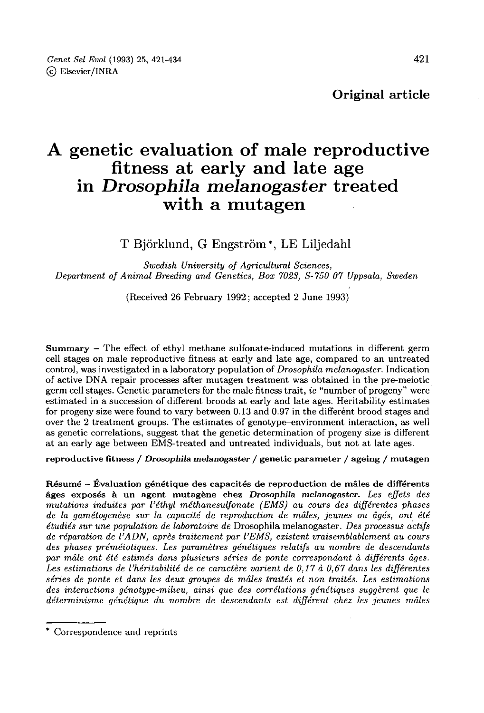# A genetic evaluation of male reproductive<br>fitness at early and late age in Drosophila melanogaster treated with a mutagen

# T Björklund, G Engström<sup>\*</sup>, LE Liljedahl

Swedish University of Agricultural Sciences, Department of Animal Breeding and Genetics, Box 7023, S-750 07 Uppsala, Sweden

(Received 26 February 1992; accepted 2 June 1993)

Summary - The effect of ethyl methane sulfonate-induced mutations in different germ cell stages on male reproductive fitness at early and late age, compared to an untreated control, was investigated in a laboratory population of Drosophila melanogaster. Indication of active DNA repair processes after mutagen treatment was obtained in the pre-meiotic germ cell stages. Genetic parameters for the male fitness trait, ie "number of progeny" were estimated in a succession of different broods at early and late ages. Heritability estimates for progeny size were found to vary between 0.13 and 0.97 in the different brood stages and over the 2 treatment groups. The estimates of genotype-environment interaction, as well as genetic correlations, suggest that the genetic determination of progeny size is different at an early age between EMS-treated and untreated individuals, but not at late ages.

reproductive fitness / Drosophila melanogaster / genetic parameter / ageing / mutagen

Résumé - Évaluation génétique des capacités de reproduction de mâles de différents âges exposés à un agent mutagène chez Drosophila melanogaster. Les effets des mutations induites par l'éthyl méthanesulfonate (EMS) au cours des différentes phases de la gamétogenèse sur la capacité de reproduction de mâles, jeunes ou âgés, ont été étudiés sur une population de laboratoire de Drosophila melanogaster. Des processus actifs de réparation de l'ADN, après traitement par l'EMS, existent vraisemblablement au cours des phases préméiotiques. Les paramètres génétiques relatifs au nombre de descendants par mâle ont été estimés dans plusieurs séries de ponte correspondant à différents âges. Les estimations de l'héritabilité de ce caractère varient de 0,17 à 0,67 dans les différentes séries de ponte et dans les deux groupes de mâles traités et non traités. Les estimations des interactions génotype-milieu, ainsi que des corrélations génétiques suggèrent que le déterminisme génétique du nombre de descendants est différent chez les jeunes mâles

<sup>\*</sup> Correspondence and reprints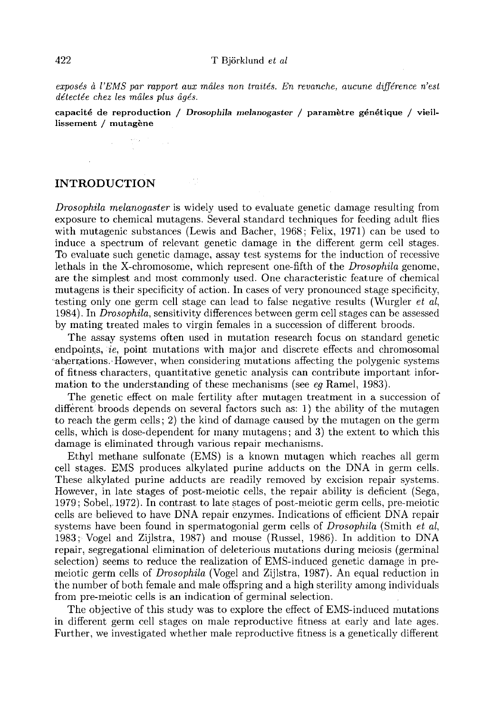exposés à l'EMS par rapport aux mâles non traités. En revanche, aucune différence n'est détectée chez les mâles plus âgés.

capacité de reproduction / Drosophila melanogaster / paramètre génétique / vieillissement / mutagène

# INTRODUCTION

Drosophila melanogaster is widely used to evaluate genetic damage resulting from exposure to chemical mutagens. Several standard techniques for feeding adult flies with mutagenic substances (Lewis and Bacher, 1968; Felix, 1971) can be used to induce a spectrum of relevant genetic damage in the different germ cell stages. To evaluate such genetic damage, assay test systems for the induction of recessive lethals in the X-chromosome, which represent one-fifth of the Drosophila genome, are the simplest and most commonly used. One characteristic feature of chemical mutagens is their specificity of action. In cases of very pronounced stage specificity, testing only one germ cell stage can lead to false negative results (Wurgler et al, 1984). In *Drosophila*, sensitivity differences between germ cell stages can be assessed by mating treated males to virgin females in a succession of different broods.

The assay systems often used in mutation research focus on standard genetic endpoints,  $ie$ , point mutations with major and discrete effects and chromosomal aberrations. However, when considering mutations affecting the polygenic systems of fitness characters, quantitative genetic analysis can contribute important information to the understanding of these mechanisms (see eq Ramel, 1983).

The genetic effect on male fertility after mutagen treatment in a succession of different broods depends on several factors such as: 1) the ability of the mutagen to reach the germ cells; 2) the kind of damage caused by the mutagen on the germ cells, which is dose-dependent for many mutagens; and 3) the extent to which this damage is eliminated through various repair mechanisms.

Ethyl methane sulfonate (EMS) is a known mutagen which reaches all germ cell stages. EMS produces alkylated purine adducts on the DNA in germ cells. These alkylated purine adducts are readily removed by excision repair systems. However, in late stages of post-meiotic cells, the repair ability is deficient (Sega, 1979; Sobel,. 1972). In contrast to late stages of post-meiotic germ cells, pre-meiotic cells are believed to have DNA repair enzymes. Indications of efficient DNA repair systems have been found in spermatogonial germ cells of  $Drosophila$  (Smith et al, 1983; Vogel and Zijlstra, 1987) and mouse (Russel, 1986). In addition to DNA repair, segregational elimination of deleterious mutations during meiosis (germinal selection) seems to reduce the realization of EMS-induced genetic damage in premeiotic germ cells of Drosophila (Vogel and Zijlstra, 1987). An equal reduction in the number of both female and male offspring and a high sterility among individuals from pre-meiotic cells is an indication of germinal selection. ,

The objective of this study was to explore the effect of EMS-induced mutations in different germ cell stages on male reproductive fitness at early and late ages. Further, we investigated whether male reproductive fitness is a genetically different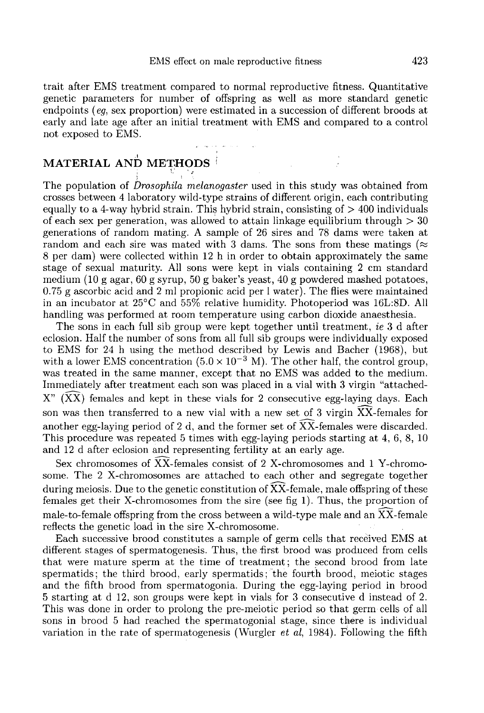trait after EMS treatment compared to normal reproductive fitness. Quantitative genetic parameters for number of offspring as well as more standard genetic endpoints ( $eq$ , sex proportion) were estimated in a succession of different broods at early and late age after an initial treatment with EMS and compared to a control not exposed to EMS.

# **MATERIAL AND METHODS**

The population of Drosophila melanogaster used in this study was obtained from crosses between 4 laboratory wild-type strains of different origin, each contributing equally to a 4-way hybrid strain. This hybrid strain, consisting of  $> 400$  individuals of each sex per generation, was allowed to attain linkage equilibrium through  $>$  30 generations of random mating. A sample of 26 sires and 78 dams were taken at random and each sire was mated with 3 dams. The sons from these matings ( $\approx$ 8 per dam) were collected within 12 h in order to obtain approximately the same stage of sexual maturity. All sons were kept in vials containing 2 cm standard medium (10 g agar, 60 g syrup, 50 g baker's yeast, 40 g powdered mashed potatoes, 0.75 g ascorbic acid and 2 ml propionic acid per 1 water). The flies were maintained in an incubator at 25°C and 55% relative humidity. Photoperiod was 16L:8D. All handling was performed at room temperature using carbon dioxide anaesthesia.

The sons in each full sib group were kept together until treatment, ie 3 d after eclosion. Half the number of sons from all full sib groups were individually exposed to EMS for 24 h using the method described by Lewis and Bacher (1968), but with a lower EMS concentration  $(5.0 \times 10^{-3} \text{ M})$ . The other half, the control group, was treated in the same manner, except that no EMS was added to the medium. Immediately after treatment each son was placed in a vial with 3 virgin "attached- $X''$  ( $\overline{XX}$ ) females and kept in these vials for 2 consecutive egg-laying days. Each son was then transferred to a new vial with a new set of 3 virgin XX-females for another egg-laying period of 2 d, and the former set of XX-females were discarded. This procedure was repeated 5 times with egg-laying periods starting at 4, 6, 8, 10 and 12 d after eclosion and representing fertility at an early age.

Sex chromosomes of XX-females consist of 2 X-chromosomes and 1 Y-chromosome. The 2 X-chromosomes are attached to each other and segregate together during meiosis. Due to the genetic constitution of  $\overline{XX}$ -female, male offspring of these females get their X-chromosomes from the sire (see fig 1). Thus, the proportion of male-to-female offspring from the cross between a wild-type male and an XX-female reflects the genetic load in the sire X-chromosome.

Each successive brood constitutes a sample of germ cells that received EMS at different stages of spermatogenesis. Thus, the first brood was produced from cells that were mature sperm at the time of treatment; the second brood from late spermatids; the third brood, early spermatids; the fourth brood, meiotic stages and the fifth brood from spermatogonia. During the egg-laying period in brood 5 starting at d 12, son groups were kept in vials for 3 consecutive d instead of 2. This was done in order to prolong the pre-meiotic period so that germ cells of all sons in brood 5 had reached the spermatogonial stage, since there is individual variation in the rate of spermatogenesis (Wurgler et al, 1984). Following the fifth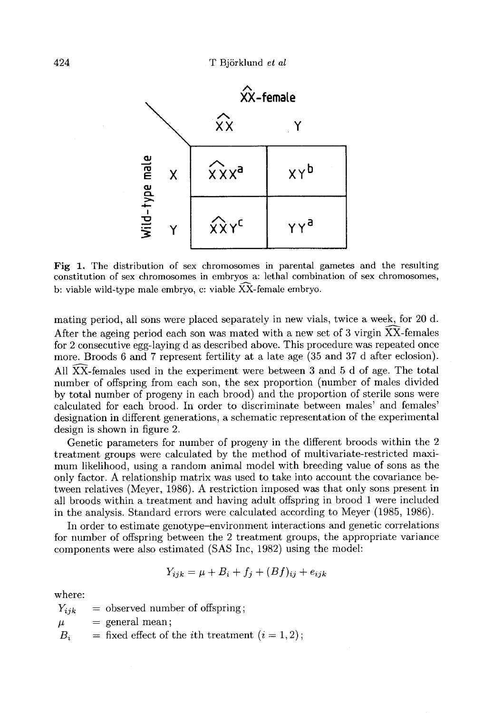

Fig 1. The distribution of sex chromosomes in parental gametes and the resulting constitution of sex chromosomes in embryos a: lethal combination of sex chromosomes, b: viable wild-type male embryo, c: viable  $\widetilde{XX}$ -female embryo.

mating period, all sons were placed separately in new vials, twice a week, for 20 d. After the ageing period each son was mated with a new set of 3 virgin  $\overline{X} \overline{X}$ -females for 2 consecutive egg-laying d as described above. This procedure was repeated once more. Broods 6 and 7 represent fertility at a late age (35 and 37 d after eclosion). All XX-females used in the experiment were between 3 and 5 d of age. The total number of offspring from each son, the sex proportion (number of males divided by total number of progeny in each brood) and the proportion of sterile sons were calculated for each brood. In order to discriminate between males' and females' designation in different generations, a schematic representation of the experimental design is shown in figure 2.

Genetic parameters for number of progeny in the different broods within the 2 treatment groups were calculated by the method of multivariate-restricted maximum likelihood, using a random animal model with breeding value of sons as the only factor. A relationship matrix was used to take into account the covariance between relatives (Meyer, 1986). A restriction imposed was that only sons present in all broods within a treatment and having adult offspring in brood 1 were included in the analysis. Standard errors were calculated according to Meyer (1985, 1986).

In order to estimate genotype-environment interactions and genetic correlations for number of offspring between the 2 treatment groups, the appropriate variance components were also estimated (SAS Inc, 1982) using the model:

$$
Y_{ijk} = \mu + B_i + f_i + (Bf)_{ij} + e_{ijk}
$$

where:

 $Y_{ijk}$  = observed number of offspring;  $\mu$  = general mean;  $B_i$  = fixed effect of the *i*th treatment  $(i = 1, 2)$ ;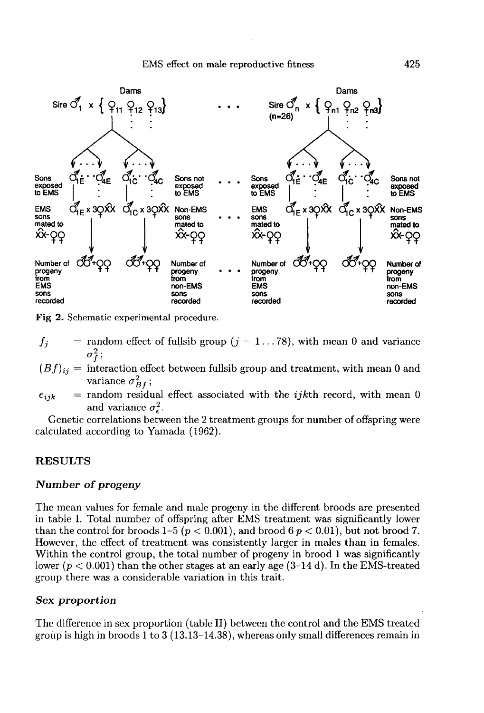#### EMS effect on male reproductive fitness



Fig 2. Schematic experimental procedure.

- $f_j$  = random effect of fullsib group  $(j = 1...78)$ , with mean 0 and variance
- $(Bf)_{ij}$  = interaction effect between fullsib group and treatment, with mean 0 and variance  $\sigma_{Bf}^2$ ;
- $e_{ijk}$  = random residual effect associated with the *ijkth* record, with mean 0 and variance  $\sigma_e^2$ .

Genetic correlations between the 2 treatment groups for number of offspring were calculated according to Yamada (1962).

#### RESULTS

### Number of progeny

The mean values for female and male progeny in the different broods are presented in table I. Total number of offspring after EMS treatment was significantly lower than the control for broods 1–5 ( $p < 0.001$ ), and brood 6  $p < 0.01$ ), but not brood 7. However, the effect of treatment was consistently larger in males than in females. Within the control group, the total number of progeny in brood 1 was significantly lower  $(p < 0.001)$  than the other stages at an early age  $(3-14 \text{ d})$ . In the EMS-treated group there was a considerable variation in this trait.

#### Sex proportion

The difference in sex proportion (table II) between the control and the EMS treated group is high in broods 1 to 3 (13.13-14.38), whereas only small differences remain in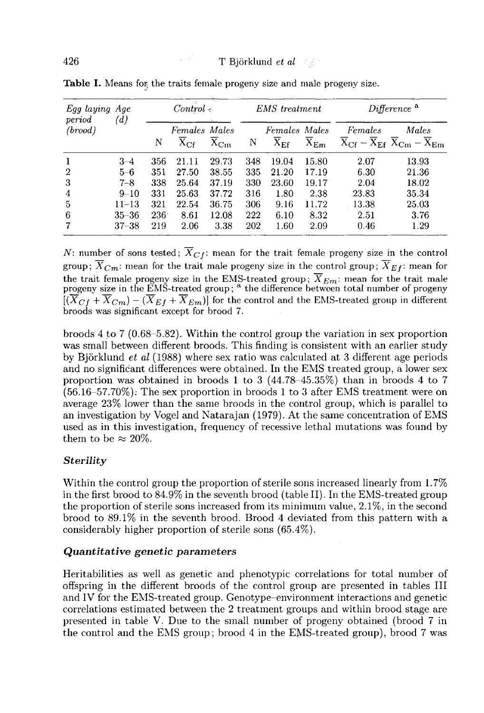| Egg laying Age<br>period | (d)       | $Control \leftarrow$ |                                                        | <b>EMS</b> treatment                |     | Difference <sup>a</sup>                              |                                     |         |                                                                                          |
|--------------------------|-----------|----------------------|--------------------------------------------------------|-------------------------------------|-----|------------------------------------------------------|-------------------------------------|---------|------------------------------------------------------------------------------------------|
| (broad)                  |           | N                    | Females Males<br>$\overline{\mathrm{x}}_{\mathrm{Cf}}$ | $\overline{\mathrm{x}}_\mathrm{Cm}$ | N   | Females Males<br>$\overline{\mathrm{x}}_{\text{Ef}}$ | $\overline{\mathrm{X}}_\mathrm{Em}$ | Females | Males<br>$\overline{X}_{CF} - \overline{X}_{EF} \ \overline{X}_{Cm} - \overline{X}_{Em}$ |
|                          | $3 - 4$   | 356                  | 21.11                                                  | 29.73                               | 348 | 19.04                                                | 15.80                               | 2.07    | 13.93                                                                                    |
| $\overline{2}$           | $5 - 6$   | 351                  | 27.50                                                  | 38.55                               | 335 | 21.20                                                | 17.19                               | 6.30    | 21.36                                                                                    |
| 3                        | $7 - 8$   | 338                  | 25.64                                                  | 37.19                               | 330 | 23.60                                                | 19.17                               | 2.04    | 18.02                                                                                    |
| 4                        | $9 - 10$  | 331                  | 25.63                                                  | 37.72                               | 316 | 1.80                                                 | 2.38                                | 23.83   | 35.34                                                                                    |
| 5                        | $11 - 13$ | 321                  | 22.54                                                  | 36.75                               | 306 | 9.16                                                 | 11.72                               | 13.38   | 25.03                                                                                    |
| 6                        | $35 - 36$ | $236^{\circ}$        | 8.61                                                   | 12.08                               | 222 | 6.10                                                 | 8.32                                | 2.51    | 3.76                                                                                     |
|                          | $37 - 38$ | 219                  | 2.06                                                   | 3.38                                | 202 | 1.60                                                 | 2.09                                | 0.46    | 1.29                                                                                     |

Table I. Means for the traits female progeny size and male progeny size.

N: number of sons tested;  $\overline{X}_{C}$ : mean for the trait female progeny size in the control group;  $\overline{X}_{Cm}$ : mean for the trait male progeny size in the control group;  $\overline{X}_{Ef}$ : mean for the trait female progeny size in the EMS-treated group;  $\overline{X}_{Em}$ : mean for the trait male progeny size in the EMS-treated group; <sup>a</sup> the difference between total number of progeny  $[(\overline{X}_{C} + \overline{X}_{Cm}) - (\overline{X}_{E} + \overline{X}_{Em})]$  for the control and the EMS-treated group in different broods was significant except for brood 7.

broods 4 to 7 (0.68-5.82). Within the control group the variation in sex proportion was small between different broods. This finding is consistent with an earlier study by Björklund *et al*  $(1988)$  where sex ratio was calculated at 3 different age periods and no significant differences were obtained. In the EMS treated group, a lower sex proportion was obtained in broods 1 to 3 (44.78-45.35%) than in broods 4 to 7 (56.16-57.70%): The sex proportion in broods 1 to 3 after EMS treatment were on average 23% lower than the same broods in the control group, which is parallel to an investigation by Vogel and Natarajan (1979). At the same concentration of EMS used as in this investigation, frequency of recessive lethal mutations was found by them to be  $\approx 20\%$ .

## **Sterility**

Within the control group the proportion of sterile sons increased linearly from 1.7% in the first brood to 84.9% in the seventh brood (table II). In the EMS-treated group the proportion of sterile sons increased from its minimum value, 2.1%, in the second brood to 89.1% in the seventh brood. Brood 4 deviated from this pattern with a considerably higher proportion of sterile sons (65.4%).

#### Quantitative genetic parameters

Heritabilities as well as genetic and phenotypic correlations for total number of offspring in the different broods of the control group are presented in tables III and IV for the EMS-treated group. Genotype-environment interactions and genetic correlations estimated between the 2 treatment groups and within brood stage are presented in table V. Due to the small number of progeny obtained (brood 7 in the control and the EMS group; brood 4 in the EMS-treated group), brood 7 was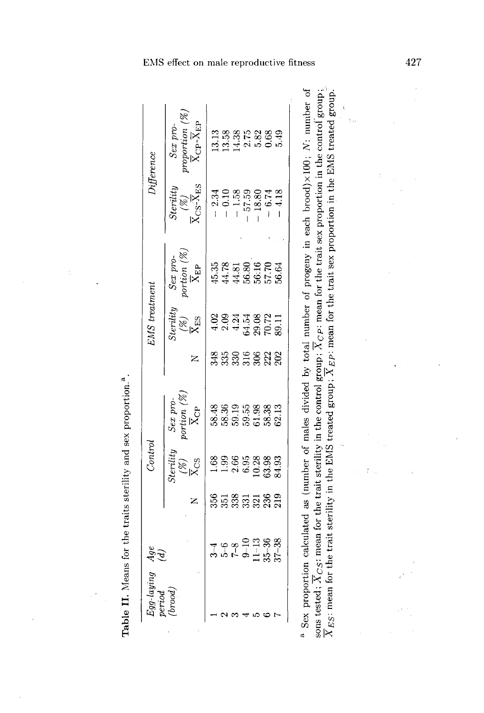| errod   |                                                                           |                 |                         |                                                 |             |                                       |                                           |                                                                      |                                  |
|---------|---------------------------------------------------------------------------|-----------------|-------------------------|-------------------------------------------------|-------------|---------------------------------------|-------------------------------------------|----------------------------------------------------------------------|----------------------------------|
| (broot) | age<br>C                                                                  |                 | Sterity                 | Sex pro-                                        |             | terility<br>8g                        | portion $(\%)$<br>Sex pro-                | Steriltu                                                             | roportion $(\%)$<br>Sex pro-     |
|         |                                                                           |                 | $X_{CS}$                | portion (%) $\frac{\overline{X}_{\text{CP}}}{}$ |             | $\overline{\mathrm{X}}_{\mathrm{ES}}$ | $\overline{\mathrm{X}}_\mathrm{EP}$       | $\overline{\mathrm{x}}_\mathrm{CS}\overline{\mathrm{x}}_\mathrm{ES}$ | $\bar{X}_{CP}$ - $\bar{X}_{EP}$  |
|         |                                                                           | 856             |                         |                                                 |             | S                                     | 15.35                                     | $-2.34$                                                              |                                  |
|         |                                                                           |                 | 0.91                    |                                                 | 335         | 2.09                                  |                                           | $-0.10$                                                              |                                  |
|         |                                                                           |                 | 2.66                    | 88<br>88525<br>8868                             |             | 4.24                                  |                                           |                                                                      | 88 86 88<br>0 4 0 10<br>0 4 0 10 |
|         |                                                                           |                 | 6.95                    |                                                 |             |                                       |                                           | 57.59                                                                |                                  |
|         |                                                                           |                 |                         |                                                 |             |                                       |                                           | 18.80                                                                |                                  |
|         | $35 - 38$<br>$7 - 9 = 13$<br>$1 - 36$<br>$1 - 36$<br>$1 - 36$<br>$1 - 36$ | ឆ្គន្ធន្តន្តន្ត | 10.38<br>53.93<br>54.93 | 51.98<br>58.38                                  | ន្លីដូន្លងន | 34.882.11<br>39.22.11                 | 44.78<br>44.81<br>56.16<br>56.70<br>56.64 | $-6.74$                                                              |                                  |
|         |                                                                           |                 |                         | 62.13                                           |             |                                       |                                           | 4.18                                                                 | $0.68$<br>5.49                   |

Table II. Means for the traits sterility and sex proportion.<sup>2</sup>.

 $\frac{1}{\sqrt{2}}$ 

 $\tilde{\chi}_{\rm{th}}$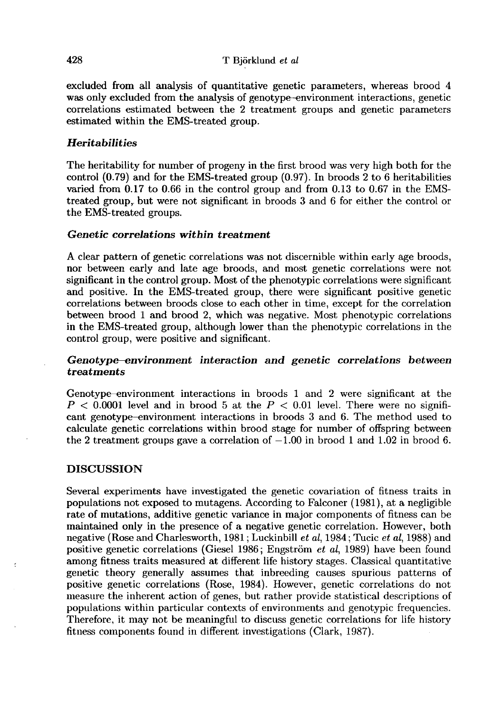excluded from all analysis of quantitative genetic parameters, whereas brood 4 was only excluded from the analysis of genotype-environment interactions, genetic correlations estimated between the 2 treatment groups and genetic parameters estimated within the EMS-treated group.

# **Heritabilities**

The heritability for number of progeny in the first brood was very high both for the control (0.79) and for the EMS-treated group (0.97). In broods 2 to 6 heritabilities varied from 0.17 to 0.66 in the control group and from 0.13 to 0.67 in the EMStreated group, but were not significant in broods 3 and 6 for either the control or the EMS-treated groups.

# Genetic correlations within treatment

A clear pattern of genetic correlations was not discernible within early age broods, nor between early and late age broods, and most genetic correlations were not significant in the control group. Most of the phenotypic correlations were significant and positive. In the EMS-treated group, there were significant positive genetic correlations between broods close to each other in time, except for the correlation between brood 1 and brood 2, which was negative. Most phenotypic correlations in the EMS-treated group, although lower than the phenotypic correlations in the control group, were positive and significant.

## Genotype—environment interaction and genetic correlations between treatments

Genotype-environment interactions in broods 1 and 2 were significant at the  $P < 0.0001$  level and in brood 5 at the  $P < 0.01$  level. There were no significant genotype-environment interactions in broods 3 and 6. The method used to calculate genetic correlations within brood stage for number of offspring between the 2 treatment groups gave a correlation of  $-1.00$  in brood 1 and 1.02 in brood 6.

# **DISCUSSION**

Several experiments have investigated the genetic covariation of fitness traits in populations not exposed to mutagens. According to Falconer (1981), at a negligible rate of mutations, additive genetic variance in major components of fitness can be maintained only in the presence of a negative genetic correlation. However, both negative (Rose and Charlesworth, 1981; Luckinbill et al, 1984; Tucic et al, 1988) and positive genetic correlations (Giesel 1986; Engström et al, 1989) have been found among fitness traits measured at different life history stages. Classical quantitative genetic theory generally assumes that inbreeding causes spurious patterns of positive genetic correlations (Rose, 1984). However, genetic correlations do not measure the inherent action of genes, but rather provide statistical descriptions of populations within particular contexts of environments and genotypic frequencies. Therefore, it may not be meaningful to discuss genetic correlations for life history fitness components found in different investigations (Clark, 1987).

428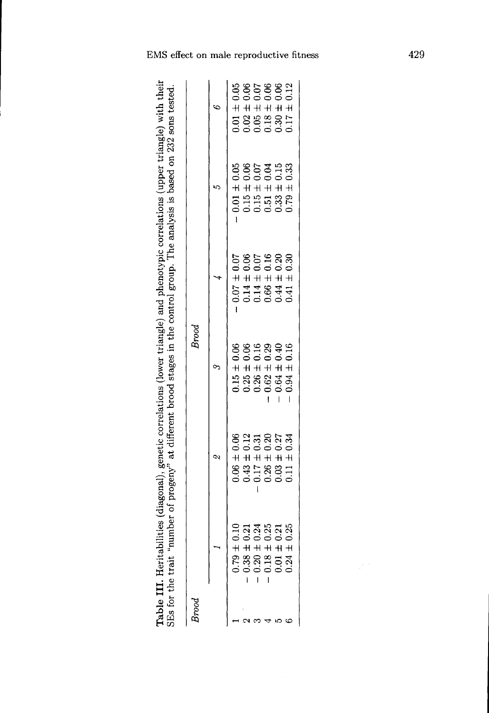Table III. Heritabilities (diagonal), genetic correlations (lower triangle) and phenotypic correlations (upper triangle) with their<br>SEs for the trait "number of progeny" at different brood stages in the control group. The

| Brood |                                                                                                                                                       |                                                                                                                                                    | Brood                                                                                                                                              |                                                                                                                                                    |                                                                                                                                                    |                                                                                                                                       |
|-------|-------------------------------------------------------------------------------------------------------------------------------------------------------|----------------------------------------------------------------------------------------------------------------------------------------------------|----------------------------------------------------------------------------------------------------------------------------------------------------|----------------------------------------------------------------------------------------------------------------------------------------------------|----------------------------------------------------------------------------------------------------------------------------------------------------|---------------------------------------------------------------------------------------------------------------------------------------|
|       |                                                                                                                                                       | ζQ.                                                                                                                                                |                                                                                                                                                    |                                                                                                                                                    |                                                                                                                                                    |                                                                                                                                       |
|       |                                                                                                                                                       |                                                                                                                                                    |                                                                                                                                                    |                                                                                                                                                    |                                                                                                                                                    |                                                                                                                                       |
|       | $\begin{array}{c} 0.79 \pm 0.10 \\ 0.38 \pm 0.21 \\ 0.38 \pm 0.24 \\ 0.20 \pm 0.24 \\ 0.18 \pm 0.25 \\ 0.01 \pm 0.21 \\ 0.01 \pm 0.21 \\ \end{array}$ | $\begin{array}{c} 0.06 \pm 0.06 \\ 0.43 \pm 0.12 \\ 0.17 \pm 0.31 \\ 0.26 \pm 0.20 \\ 0.03 \pm 0.27 \\ 0.03 \pm 0.27 \\ 0.01 \pm 0.34 \end{array}$ | $\begin{array}{c} 0.15 \pm 0.06 \\ 0.25 \pm 0.06 \\ 0.26 \pm 0.16 \\ 0.26 \pm 0.29 \\ 0.62 \pm 0.29 \\ 0.64 \pm 0.40 \\ 0.64 \pm 0.16 \end{array}$ | $\begin{array}{c} 0.07 \pm 0.07 \\ 0.14 \pm 0.06 \\ 0.14 \pm 0.07 \\ 0.07 \pm 0.07 \\ 0.44 \pm 0.20 \\ 0.44 \pm 0.20 \\ 0.41 \pm 0.30 \end{array}$ | $\begin{array}{c} 0.01 \pm 0.05 \\ 0.15 \pm 0.06 \\ 0.15 \pm 0.07 \\ 0.51 \pm 0.04 \\ 0.33 \pm 0.15 \\ 0.33 \pm 0.15 \\ 0.79 \pm 0.33 \end{array}$ | $\begin{array}{c} 0.01\pm 0.05\\ 0.02\pm 0.06\\ 0.05\pm 0.07\\ 0.18\pm 0.06\\ 0.30\pm 0.06\\ 0.30\pm 0.06\\ 0.17\pm 0.12 \end{array}$ |
|       |                                                                                                                                                       |                                                                                                                                                    |                                                                                                                                                    |                                                                                                                                                    |                                                                                                                                                    |                                                                                                                                       |
|       | $+ + + +$<br>$+ + +$<br>$+ + +$<br>$+ + +$<br>$+ +$<br>$+ +$<br>$+ +$<br>$+ +$<br>$+ +$<br>$+$                                                        |                                                                                                                                                    |                                                                                                                                                    |                                                                                                                                                    |                                                                                                                                                    |                                                                                                                                       |
|       |                                                                                                                                                       |                                                                                                                                                    |                                                                                                                                                    |                                                                                                                                                    |                                                                                                                                                    |                                                                                                                                       |
|       |                                                                                                                                                       |                                                                                                                                                    |                                                                                                                                                    |                                                                                                                                                    |                                                                                                                                                    |                                                                                                                                       |

429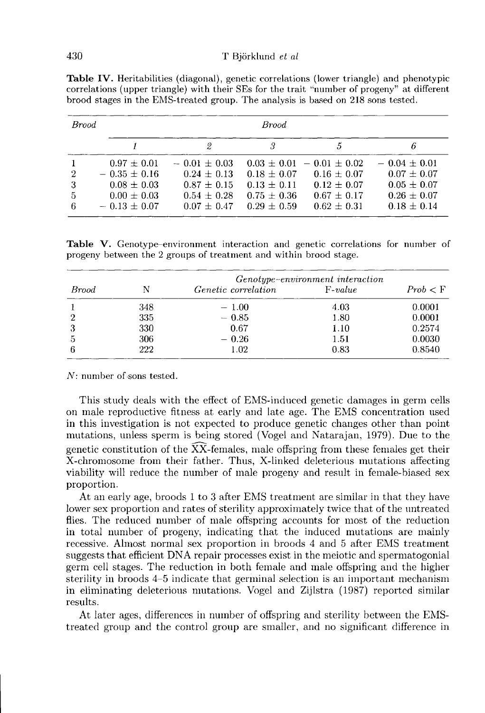| <b>Brood</b>                               |                                                                                               |                                                                                          | <b>Brood</b>                                                           |                                                                                                         |                                                                                            |
|--------------------------------------------|-----------------------------------------------------------------------------------------------|------------------------------------------------------------------------------------------|------------------------------------------------------------------------|---------------------------------------------------------------------------------------------------------|--------------------------------------------------------------------------------------------|
|                                            |                                                                                               | 2                                                                                        |                                                                        |                                                                                                         |                                                                                            |
| $\overline{2}$<br>-3<br>$\frac{5}{2}$<br>6 | $0.97 \pm 0.01$<br>$-0.35 \pm 0.16$<br>$0.08 \pm 0.03$<br>$0.00 \pm 0.03$<br>$-0.13 \pm 0.07$ | $-0.01 + 0.03$<br>$0.24 \pm 0.13$<br>$0.87 \pm 0.15$<br>$0.54 \pm 0.28$<br>$0.07 + 0.47$ | $0.18 \pm 0.07$<br>$0.13 \pm 0.11$<br>$0.75 \pm 0.36$<br>$0.29 + 0.59$ | $0.03 + 0.01 - 0.01 + 0.02$<br>$0.16 \pm 0.07$<br>$0.12 \pm 0.07$<br>$0.67 \pm 0.17$<br>$0.62 \pm 0.31$ | $-0.04 + 0.01$<br>$0.07 \pm 0.07$<br>$0.05 \pm 0.07$<br>$0.26 \pm 0.07$<br>$0.18 \pm 0.14$ |

Table IV. Heritabilities (diagonal), genetic correlations (lower triangle) and phenotypic correlations (upper triangle) with their SEs for the trait "number of progeny" at different brood stages in the EMS-treated group. The analysis is based on 218 sons tested.

Table V. Genotype-environment interaction and genetic correlations for number of progeny between the 2 groups of treatment and within brood stage.

|                | Genotype-environment interaction |                            |           |          |  |  |  |  |
|----------------|----------------------------------|----------------------------|-----------|----------|--|--|--|--|
| Brood          |                                  | <i>Genetic correlation</i> | $F-value$ | Prob < F |  |  |  |  |
|                | 348                              | $-1.00$                    | 4.03      | 0.0001   |  |  |  |  |
| $\overline{2}$ | 335                              | $-0.85$                    | 1.80      | 0.0001   |  |  |  |  |
| 3              | 330                              | 0.67                       | 1.10      | 0.2574   |  |  |  |  |
| 5              | 306                              | $-0.26$                    | 1.51      | 0.0030   |  |  |  |  |
| -6             | 222                              | 1.02                       | 0.83      | 0.8540   |  |  |  |  |

 $N:$  number of sons tested.

This study deals with the effect of EMS-induced genetic damages in germ cells on male reproductive fitness at early and late age. The EMS concentration used in this investigation is not expected to produce genetic changes other than point mutations, unless sperm is being stored (Vogel and Natarajan, 1979). Due to the genetic constitution of the  $\overline{XX}$ -females, male offspring from these females get their X-chromosome from their father. Thus, X-linked deleterious mutations affecting viability will reduce the number of male progeny and result in female-biased sex proportion.

At an early age, broods 1 to 3 after EMS treatment are similar in that they have lower sex proportion and rates of sterility approximately twice that of the untreated flies. The reduced number of male offspring accounts for most of the reduction in total number of progeny, indicating that the induced mutations are mainly recessive. Almost normal sex proportion in broods 4 and 5 after EMS treatment suggests that efficient DNA repair processes exist in the meiotic and spermatogonial germ cell stages. The reduction in both female and male offspring and the higher sterility in broods 4-5 indicate that germinal selection is an important mechanism in eliminating deleterious mutations. Vogel and Zijlstra (1987) reported similar results.

At later ages, differences in number of offspring and sterility between the EMStreated group and the control group are smaller, and no significant difference in

430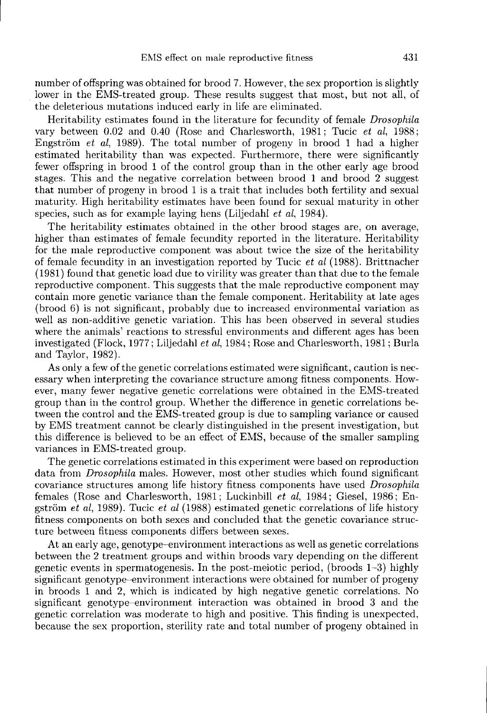number of offspring was obtained for brood 7. However, the sex proportion is slightly lower in the EMS-treated group. These results suggest that most, but not all, of the deleterious mutations induced early in life are eliminated.

Heritability estimates found in the literature for fecundity of female Drosophila vary between 0.02 and 0.40 (Rose and Charlesworth, 1981; Tucic et al, 1988; Engström et al, 1989). The total number of progeny in brood 1 had a higher estimated heritability than was expected. Furthermore, there were significantly fewer offspring in brood 1 of the control group than in the other early age brood stages. This and the negative correlation between brood 1 and brood 2 suggest that number of progeny in brood 1 is a trait that includes both fertility and sexual maturity. High heritability estimates have been found for sexual maturity in other species, such as for example laying hens (Liljedahl *et al*, 1984).

The heritability estimates obtained in the other brood stages are, on average, higher than estimates of female fecundity reported in the literature. Heritability for the male reproductive component was about twice the size of the heritability of female fecundity in an investigation reported by Tucic et al (1988). Brittnacher (1981) found that genetic load due to virility was greater than that due to the female reproductive component. This suggests that the male reproductive component may contain more genetic variance than the female component. Heritability at late ages (brood 6) is not significant, probably due to increased environmental variation as well as non-additive genetic variation. This has been observed in several studies where the animals' reactions to stressful environments and different ages has been investigated (Flock, 1977; Liljedahl et al, 1984; Rose and Charlesworth, 1981; Burla and Taylor, 1982).

As only a few of the genetic correlations estimated were significant, caution is necessary when interpreting the covariance structure among fitness components. However, many fewer negative genetic correlations were obtained in the EMS-treated group than in the control group. Whether the difference in genetic correlations between the control and the EMS-treated group is due to sampling variance or caused by EMS treatment cannot be clearly distinguished in the present investigation, but this difference is believed to be an effect of EMS, because of the smaller sampling variances in EMS-treated group.

The genetic correlations estimated in this experiment were based on reproduction data from Drosophila males. However, most other studies which found significant covariance structures among life history fitness components have used Drosophila females (Rose and Charlesworth, 1981; Luckinbill et al, 1984; Giesel, 1986; Engström et al, 1989). Tucic et al  $(1988)$  estimated genetic correlations of life history fitness components on both sexes and concluded that the genetic covariance structure between fitness components differs between sexes.

At an early age, genotype-environment interactions as well as genetic correlations between the 2 treatment groups and within broods vary depending on the different genetic events in spermatogenesis. In the post-meiotic period, (broods 1-3) highly significant genotype-environment interactions were obtained for number of progeny in broods 1 and 2, which is indicated by high negative genetic correlations. No significant genotype-environment interaction was obtained in brood 3 and the genetic correlation was moderate to high and positive. This finding is unexpected, because the sex proportion, sterility rate and total number of progeny obtained in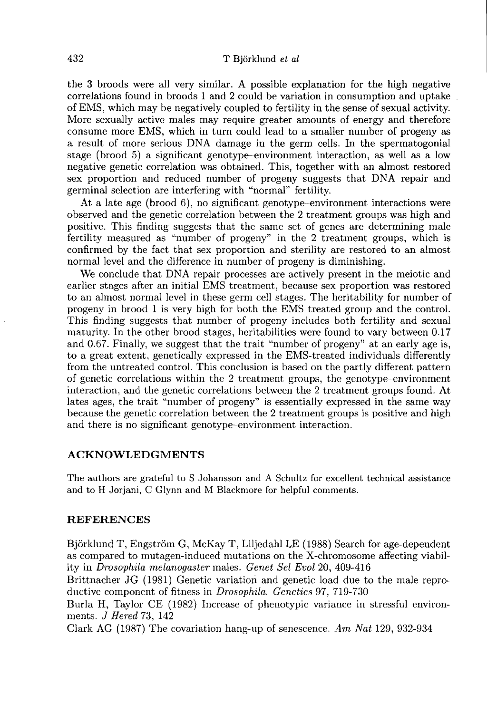the 3 broods were all very similar. A possible explanation for the high negative correlations found in broods 1 and 2 could be variation in consumption and uptake of EMS, which may be negatively coupled to fertility in the sense of sexual activity. More sexually active males may require greater amounts of energy and therefore consume more EMS, which in turn could lead to a smaller number of progeny as a result of more serious DNA damage in the germ cells. In the spermatogonial stage (brood 5) a significant genotype-environment interaction, as well as a low negative genetic correlation was obtained. This, together with an almost restored sex proportion and reduced number of progeny suggests that DNA repair and germinal selection are interfering with "normal" fertility.

At a late age (brood 6), no significant genotype-environment interactions were observed and the genetic correlation between the 2 treatment groups was high and positive. This finding suggests that the same set of genes are determining male fertility measured as "number of progeny" in the  $2$  treatment groups, which is confirmed by the fact that sex proportion and sterility are restored to an almost normal level and the difference in number of progeny is diminishing.

We conclude that DNA repair processes are actively present in the meiotic and earlier stages after an initial EMS treatment, because sex proportion was restored to an almost normal level in these germ cell stages. The heritability for number of progeny in brood 1 is very high for both the EMS treated group and the control. This finding suggests that number of progeny includes both fertility and sexual maturity. In the other brood stages, heritabilities were found to vary between 0.17 and 0.67. Finally, we suggest that the trait "number of progeny" at an early age is, to a great extent, genetically expressed in the EMS-treated individuals differently from the untreated control. This conclusion is based on the partly different pattern of genetic correlations within the 2 treatment groups, the genotype-environment interaction, and the genetic correlations between the 2 treatment groups found. At lates ages, the trait "number of progeny" is essentially expressed in the same way because the genetic correlation between the 2 treatment groups is positive and high and there is no significant genotype-environment interaction.

#### ACKNOWLEDGMENTS

The authors are grateful to S Johansson and A Schultz for excellent technical assistance and to H Jorjani, C Glynn and M Blackmore for helpful comments.

### REFERENCES

Björklund T, Engström G, McKay T, Liljedahl LE (1988) Search for age-dependent as compared to mutagen-induced mutations on the X-chromosome affecting viability in Drosophila melanogaster males. Genet Sel Evol 20, 409-416

Brittnacher JG (1981) Genetic variation and genetic load due to the male reproductive component of fitness in *Drosophila. Genetics* 97, 719-730

Burla H, Taylor CE (1982) Increase of phenotypic variance in stressful environments. J Hered 73, 142

Clark AG (1987) The covariation hang-up of senescence. Am Nat 129, 932-934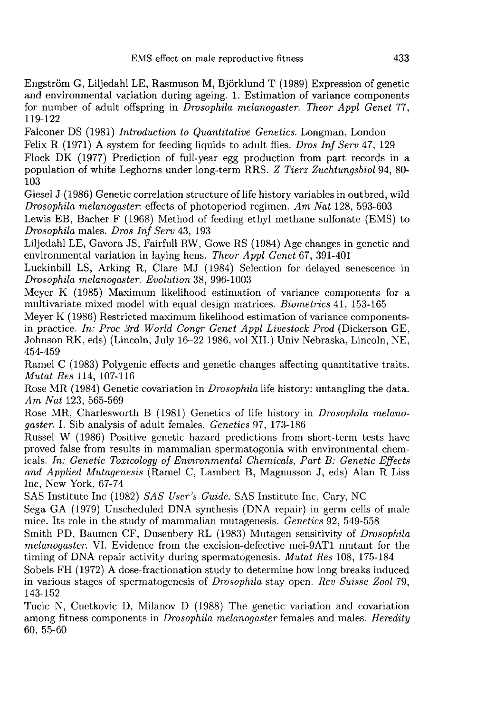Engström G, Liljedahl LE, Rasmuson M, Björklund T (1989) Expression of genetic and environmental variation during ageing. 1. Estimation of variance components for number of adult offspring in Drosophila melanogaster. Theor Appl Genet 77, 119-122

Falconer DS (1981) Introduction to Quantitative Genetics. Longman, London Felix R (1971) A system for feeding liquids to adult flies. Dros Inf Serv 47, 129

Flock DK (1977) Prediction of full-year egg production from part records in a population of white Leghorns under long-term RRS. Z Tierz Zuchtungsbiol 94, 80- 103

Giesel J (1986) Genetic correlation structure of life history variables in outbred, wild Drosophila melanogaster. effects of photoperiod regimen. Am Nat  $128$ , 593-603

Lewis EB, Bacher F (1968) Method of feeding ethyl methane sulfonate (EMS) to Drosophila males. Dros Inf Serv 43, 193

Liljedahl LE, Gavora JS, Fairfull RW, Gowe RS (1984) Age changes in genetic and environmental variation in laying hens. Theor Appl Genet 67, 391-401

Luckinbill LS, Arking R, Clare MJ (1984) Selection for delayed senescence in Drosophila melanogaster. Evolution 38, 996-1003

Meyer K (1985) Maximum likelihood estimation of variance components for a multivariate mixed model with equal design matrices. Biometrics 41, 153-165

Meyer K (1986) Restricted maximum likelihood estimation of variance componentsin practice. In: Proc 3rd World Congr Genet Appl Livestock Prod (Dickerson GE, Johnson RK, eds) (Lincoln, July 16-22 1986, vol XII.) Univ Nebraska, Lincoln, NE, 454-459

Ramel C (1983) Polygenic effects and genetic changes affecting quantitative traits. *Mutat Res* 114, 107-116

Rose MR (1984) Genetic covariation in *Drosophila* life history: untangling the data. Am Nat 123, 565-569

Rose MR, Charlesworth B (1981) Genetics of life history in *Drosophila melano*gaster. I. Sib analysis of adult females. Genetics 97, 173-186

Russel W (1986) Positive genetic hazard predictions from short-term tests have proved false from results in mammalian spermatogonia with environmental chemicals. In: Genetic Toxicology of Environmental Chemicals, Part B: Genetic Effects and Applied Mutagenesis (Ramel C, Lambert B, Magnusson J, eds) Alan R Liss Inc, New York, 67-74

SAS Institute Inc (1982) SAS User's Guide. SAS Institute Inc, Cary, NC

Sega GA (1979) Unscheduled DNA synthesis (DNA repair) in germ cells of male mice. Its role in the study of mammalian mutagenesis. Genetics 92, 549-558

Smith PD, Baumen CF, Dusenbery RL (1983) Mutagen sensitivity of Drosophila melanogaster. VI. Evidence from the excision-defective mei-9AT1 mutant for the timing of DNA repair activity during spermatogenesis. Mutat Res 108, 175-184

Sobels FH (1972) A dose-fractionation study to determine how long breaks induced in various stages of spermatogenesis of *Drosophila* stay open. Rev Suisse Zool 79, 143-152

Tucic N, Cuetkovic D, Milanov D (1988) The genetic variation and covariation among fitness components in *Drosophila melanogaster* females and males. Heredity 60, 55-60